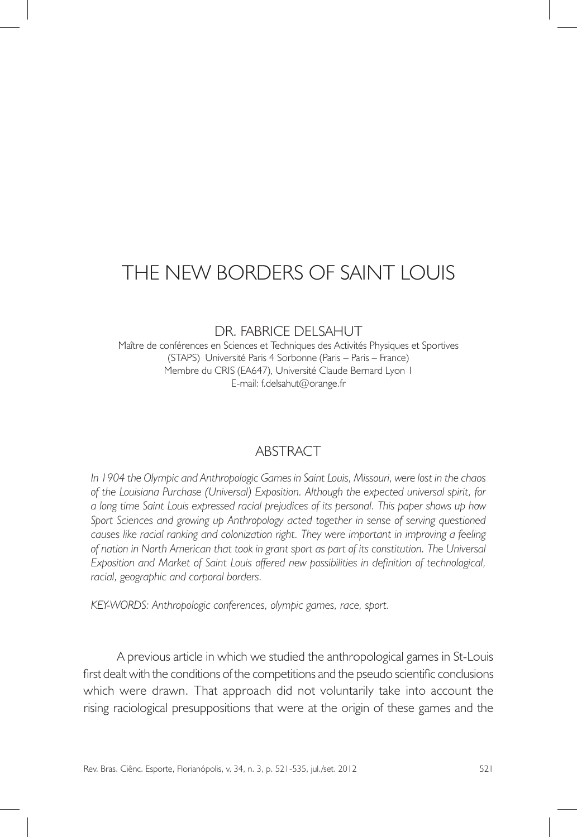# THE NEW BORDERS OF SAINT LOUIS

#### DR. FABRICE DELSAHUT

Maître de conférences en Sciences et Techniques des Activités Physiques et Sportives (STAPS) Université Paris 4 Sorbonne (Paris – Paris – France) Membre du CRIS (EA647), Université Claude Bernard Lyon 1 E-mail: f.delsahut@orange.fr

## ABSTRACT

*In 1904 the Olympic and Anthropologic Games in Saint Louis, Missouri, were lost in the chaos of the Louisiana Purchase (Universal) Exposition. Although the expected universal spirit, for a long time Saint Louis expressed racial prejudices of its personal. This paper shows up how Sport Sciences and growing up Anthropology acted together in sense of serving questioned causes like racial ranking and colonization right. They were important in improving a feeling of nation in North American that took in grant sport as part of its constitution. The Universal Exposition and Market of Saint Louis offered new possibilities in definition of technological, racial, geographic and corporal borders.*

*KEY-WORDS: Anthropologic conferences, olympic games, race, sport.*

A previous article in which we studied the anthropological games in St-Louis first dealt with the conditions of the competitions and the pseudo scientific conclusions which were drawn. That approach did not voluntarily take into account the rising raciological presuppositions that were at the origin of these games and the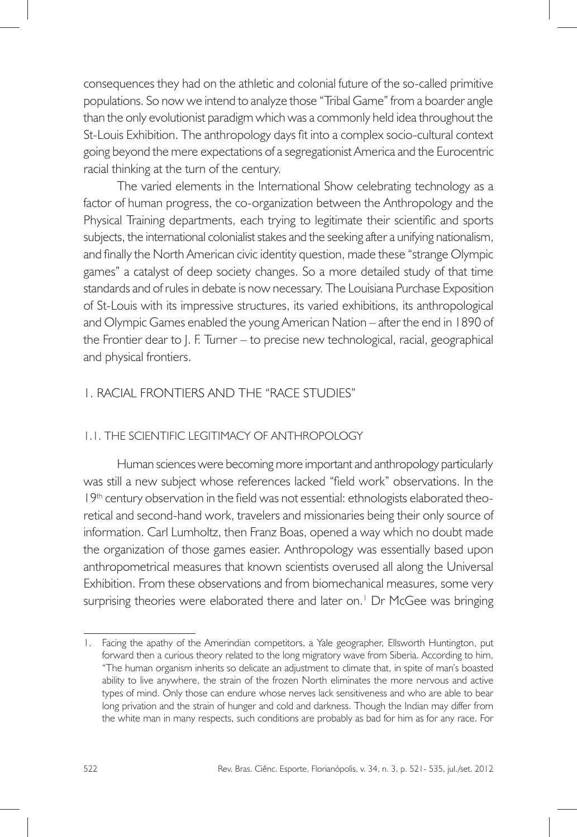consequences they had on the athletic and colonial future of the so-called primitive populations. So now we intend to analyze those "Tribal Game" from a boarder angle than the only evolutionist paradigm which was a commonly held idea throughout the St-Louis Exhibition. The anthropology days fit into a complex socio-cultural context going beyond the mere expectations of a segregationist America and the Eurocentric racial thinking at the turn of the century.

The varied elements in the International Show celebrating technology as a factor of human progress, the co-organization between the Anthropology and the Physical Training departments, each trying to legitimate their scientific and sports subjects, the international colonialist stakes and the seeking after a unifying nationalism, and finally the North American civic identity question, made these "strange Olympic games" a catalyst of deep society changes. So a more detailed study of that time standards and of rules in debate is now necessary. The Louisiana Purchase Exposition of St-Louis with its impressive structures, its varied exhibitions, its anthropological and Olympic Games enabled the young American Nation – after the end in 1890 of the Frontier dear to J. F. Turner – to precise new technological, racial, geographical and physical frontiers.

## 1. RACIAL FRONTIERS AND THE "RACE STUDIES"

## 1.1. THE SCIENTIFIC LEGITIMACY OF ANTHROPOLOGY

Human sciences were becoming more important and anthropology particularly was still a new subject whose references lacked "field work" observations. In the 19<sup>th</sup> century observation in the field was not essential: ethnologists elaborated theoretical and second-hand work, travelers and missionaries being their only source of information. Carl Lumholtz, then Franz Boas, opened a way which no doubt made the organization of those games easier. Anthropology was essentially based upon anthropometrical measures that known scientists overused all along the Universal Exhibition. From these observations and from biomechanical measures, some very surprising theories were elaborated there and later on.<sup>1</sup> Dr McGee was bringing

<sup>1.</sup> Facing the apathy of the Amerindian competitors, a Yale geographer, Ellsworth Huntington, put forward then a curious theory related to the long migratory wave from Siberia. According to him, "The human organism inherits so delicate an adjustment to climate that, in spite of man's boasted ability to live anywhere, the strain of the frozen North eliminates the more nervous and active types of mind. Only those can endure whose nerves lack sensitiveness and who are able to bear long privation and the strain of hunger and cold and darkness. Though the Indian may differ from the white man in many respects, such conditions are probably as bad for him as for any race. For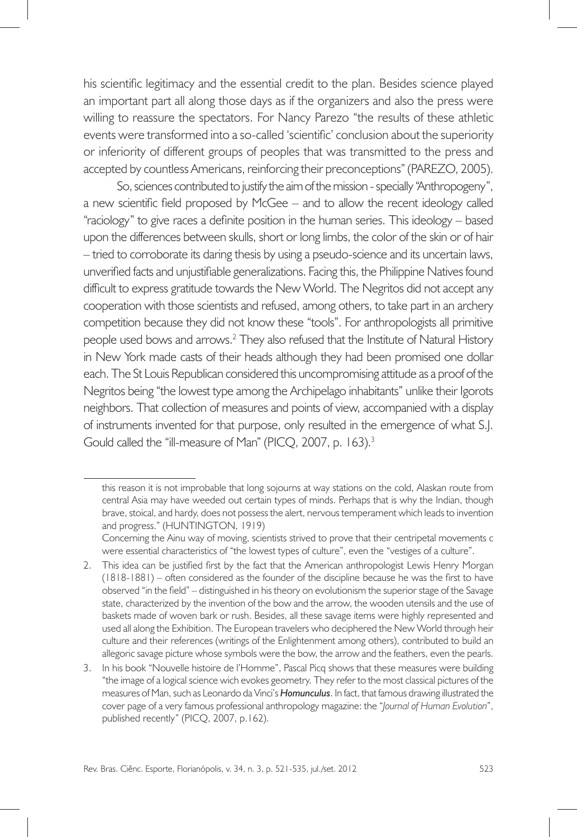his scientific legitimacy and the essential credit to the plan. Besides science played an important part all along those days as if the organizers and also the press were willing to reassure the spectators. For Nancy Parezo "the results of these athletic events were transformed into a so-called 'scientific' conclusion about the superiority or inferiority of different groups of peoples that was transmitted to the press and accepted by countless Americans, reinforcing their preconceptions" (PAREZO, 2005).

So, sciences contributed to justify the aim of the mission - specially "Anthropogeny", a new scientific field proposed by McGee – and to allow the recent ideology called "raciology" to give races a definite position in the human series. This ideology – based upon the differences between skulls, short or long limbs, the color of the skin or of hair – tried to corroborate its daring thesis by using a pseudo-science and its uncertain laws, unverified facts and unjustifiable generalizations. Facing this, the Philippine Natives found difficult to express gratitude towards the New World. The Negritos did not accept any cooperation with those scientists and refused, among others, to take part in an archery competition because they did not know these "tools". For anthropologists all primitive people used bows and arrows.<sup>2</sup> They also refused that the Institute of Natural History in New York made casts of their heads although they had been promised one dollar each. The St Louis Republican considered this uncompromising attitude as a proof of the Negritos being "the lowest type among the Archipelago inhabitants" unlike their Igorots neighbors. That collection of measures and points of view, accompanied with a display of instruments invented for that purpose, only resulted in the emergence of what S.J. Gould called the "ill-measure of Man" (PICO, 2007, p. 163).<sup>3</sup>

this reason it is not improbable that long sojourns at way stations on the cold, Alaskan route from central Asia may have weeded out certain types of minds. Perhaps that is why the Indian, though brave, stoical, and hardy, does not possess the alert, nervous temperament which leads to invention and progress." (HUNTINGTON, 1919)

Concerning the Ainu way of moving, scientists strived to prove that their centripetal movements c were essential characteristics of "the lowest types of culture", even the "vestiges of a culture".

<sup>2.</sup> This idea can be justified first by the fact that the American anthropologist Lewis Henry Morgan (1818-1881) – often considered as the founder of the discipline because he was the first to have observed "in the field" – distinguished in his theory on evolutionism the superior stage of the Savage state, characterized by the invention of the bow and the arrow, the wooden utensils and the use of baskets made of woven bark or rush. Besides, all these savage items were highly represented and used all along the Exhibition. The European travelers who deciphered the New World through heir culture and their references (writings of the Enlightenment among others), contributed to build an allegoric savage picture whose symbols were the bow, the arrow and the feathers, even the pearls.

<sup>3.</sup> In his book "Nouvelle histoire de l'Homme", Pascal Picq shows that these measures were building "the image of a logical science wich evokes geometry. They refer to the most classical pictures of the measures of Man, such as Leonardo da Vinci's *Homunculus*. In fact, that famous drawing illustrated the cover page of a very famous professional anthropology magazine: the "*Journal of Human Evolution*", published recently" (PICQ, 2007, p.162).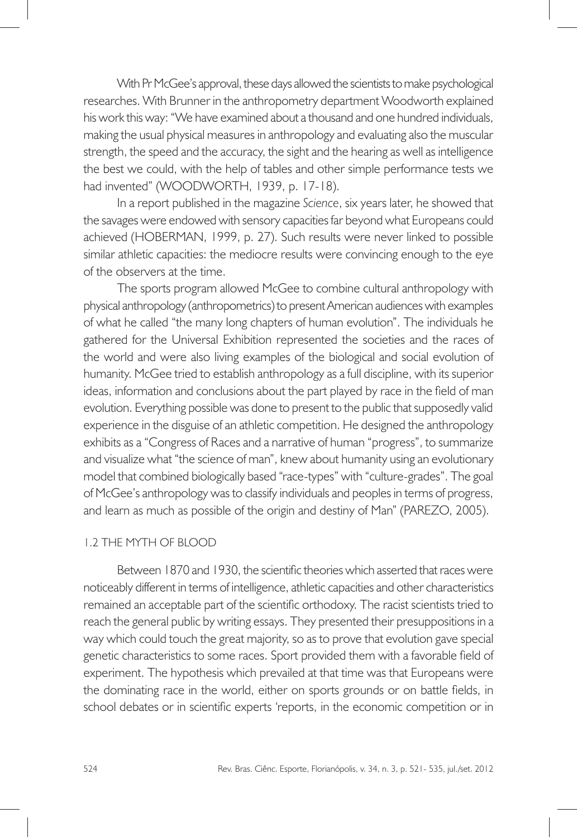With Pr McGee's approval, these days allowed the scientists to make psychological researches. With Brunner in the anthropometry department Woodworth explained his work this way: "We have examined about a thousand and one hundred individuals, making the usual physical measures in anthropology and evaluating also the muscular strength, the speed and the accuracy, the sight and the hearing as well as intelligence the best we could, with the help of tables and other simple performance tests we had invented" (WOODWORTH, 1939, p. 17-18).

In a report published in the magazine *Science*, six years later, he showed that the savages were endowed with sensory capacities far beyond what Europeans could achieved (HOBERMAN, 1999, p. 27). Such results were never linked to possible similar athletic capacities: the mediocre results were convincing enough to the eye of the observers at the time.

The sports program allowed McGee to combine cultural anthropology with physical anthropology (anthropometrics) to present American audiences with examples of what he called "the many long chapters of human evolution". The individuals he gathered for the Universal Exhibition represented the societies and the races of the world and were also living examples of the biological and social evolution of humanity. McGee tried to establish anthropology as a full discipline, with its superior ideas, information and conclusions about the part played by race in the field of man evolution. Everything possible was done to present to the public that supposedly valid experience in the disguise of an athletic competition. He designed the anthropology exhibits as a "Congress of Races and a narrative of human "progress", to summarize and visualize what "the science of man", knew about humanity using an evolutionary model that combined biologically based "race-types" with "culture-grades". The goal of McGee's anthropology was to classify individuals and peoples in terms of progress, and learn as much as possible of the origin and destiny of Man" (PAREZO, 2005).

## 1.2 THE MYTH OF BLOOD

Between 1870 and 1930, the scientific theories which asserted that races were noticeably different in terms of intelligence, athletic capacities and other characteristics remained an acceptable part of the scientific orthodoxy. The racist scientists tried to reach the general public by writing essays. They presented their presuppositions in a way which could touch the great majority, so as to prove that evolution gave special genetic characteristics to some races. Sport provided them with a favorable field of experiment. The hypothesis which prevailed at that time was that Europeans were the dominating race in the world, either on sports grounds or on battle fields, in school debates or in scientific experts 'reports, in the economic competition or in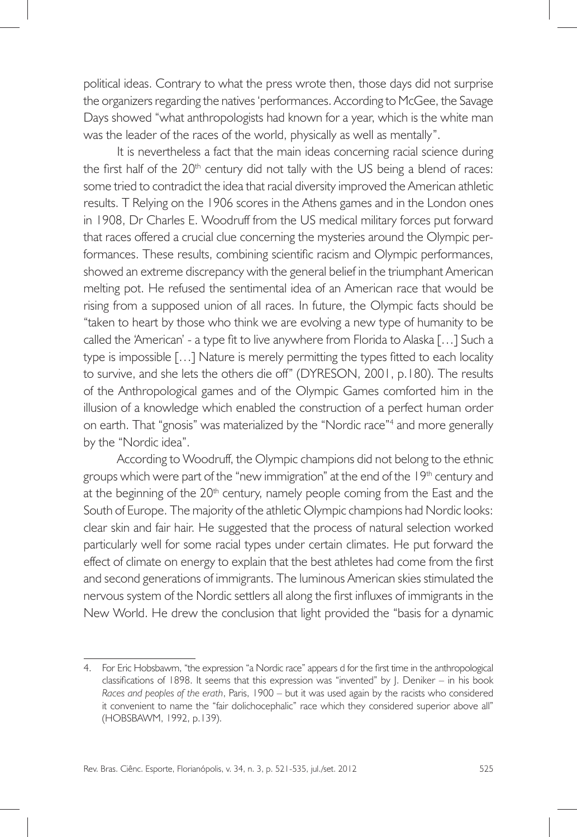political ideas. Contrary to what the press wrote then, those days did not surprise the organizers regarding the natives 'performances. According to McGee, the Savage Days showed "what anthropologists had known for a year, which is the white man was the leader of the races of the world, physically as well as mentally".

It is nevertheless a fact that the main ideas concerning racial science during the first half of the  $20<sup>th</sup>$  century did not tally with the US being a blend of races: some tried to contradict the idea that racial diversity improved the American athletic results. T Relying on the 1906 scores in the Athens games and in the London ones in 1908, Dr Charles E. Woodruff from the US medical military forces put forward that races offered a crucial clue concerning the mysteries around the Olympic performances. These results, combining scientific racism and Olympic performances, showed an extreme discrepancy with the general belief in the triumphant American melting pot. He refused the sentimental idea of an American race that would be rising from a supposed union of all races. In future, the Olympic facts should be "taken to heart by those who think we are evolving a new type of humanity to be called the 'American' - a type fit to live anywhere from Florida to Alaska […] Such a type is impossible […] Nature is merely permitting the types fitted to each locality to survive, and she lets the others die off" (DYRESON, 2001, p.180). The results of the Anthropological games and of the Olympic Games comforted him in the illusion of a knowledge which enabled the construction of a perfect human order on earth. That "gnosis" was materialized by the "Nordic race"<sup>4</sup> and more generally by the "Nordic idea".

According to Woodruff, the Olympic champions did not belong to the ethnic groups which were part of the "new immigration" at the end of the 19<sup>th</sup> century and at the beginning of the  $20<sup>th</sup>$  century, namely people coming from the East and the South of Europe. The majority of the athletic Olympic champions had Nordic looks: clear skin and fair hair. He suggested that the process of natural selection worked particularly well for some racial types under certain climates. He put forward the effect of climate on energy to explain that the best athletes had come from the first and second generations of immigrants. The luminous American skies stimulated the nervous system of the Nordic settlers all along the first influxes of immigrants in the New World. He drew the conclusion that light provided the "basis for a dynamic

<sup>4.</sup> For Eric Hobsbawm, "the expression "a Nordic race" appears d for the first time in the anthropological classifications of 1898. It seems that this expression was "invented" by J. Deniker – in his book *Races and peoples of the erath*, Paris, 1900 – but it was used again by the racists who considered it convenient to name the "fair dolichocephalic" race which they considered superior above all" (HOBSBAWM, 1992, p.139).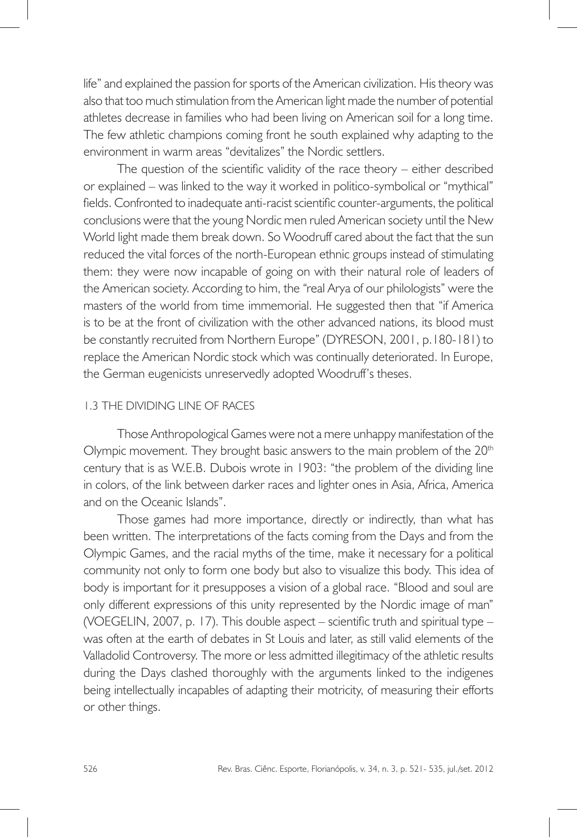life" and explained the passion for sports of the American civilization. His theory was also that too much stimulation from the American light made the number of potential athletes decrease in families who had been living on American soil for a long time. The few athletic champions coming front he south explained why adapting to the environment in warm areas "devitalizes" the Nordic settlers.

The question of the scientific validity of the race theory – either described or explained – was linked to the way it worked in politico-symbolical or "mythical" fields. Confronted to inadequate anti-racist scientific counter-arguments, the political conclusions were that the young Nordic men ruled American society until the New World light made them break down. So Woodruff cared about the fact that the sun reduced the vital forces of the north-European ethnic groups instead of stimulating them: they were now incapable of going on with their natural role of leaders of the American society. According to him, the "real Arya of our philologists" were the masters of the world from time immemorial. He suggested then that "if America is to be at the front of civilization with the other advanced nations, its blood must be constantly recruited from Northern Europe" (DYRESON, 2001, p.180-181) to replace the American Nordic stock which was continually deteriorated. In Europe, the German eugenicists unreservedly adopted Woodruff's theses.

## 1.3 THE DIVIDING LINE OF RACES

Those Anthropological Games were not a mere unhappy manifestation of the Olympic movement. They brought basic answers to the main problem of the 20<sup>th</sup> century that is as W.E.B. Dubois wrote in 1903: "the problem of the dividing line in colors, of the link between darker races and lighter ones in Asia, Africa, America and on the Oceanic Islands".

Those games had more importance, directly or indirectly, than what has been written. The interpretations of the facts coming from the Days and from the Olympic Games, and the racial myths of the time, make it necessary for a political community not only to form one body but also to visualize this body. This idea of body is important for it presupposes a vision of a global race. "Blood and soul are only different expressions of this unity represented by the Nordic image of man" (VOEGELIN, 2007, p. 17). This double aspect – scientific truth and spiritual type – was often at the earth of debates in St Louis and later, as still valid elements of the Valladolid Controversy. The more or less admitted illegitimacy of the athletic results during the Days clashed thoroughly with the arguments linked to the indigenes being intellectually incapables of adapting their motricity, of measuring their efforts or other things.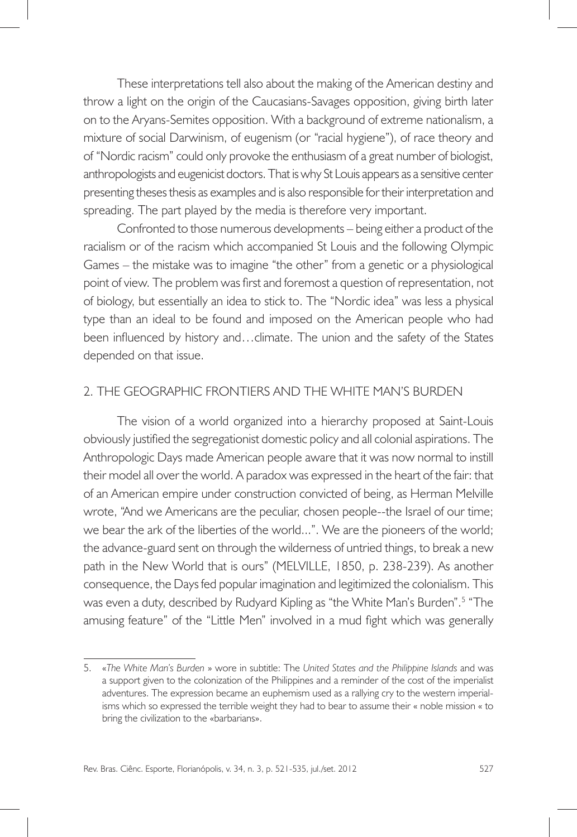These interpretations tell also about the making of the American destiny and throw a light on the origin of the Caucasians-Savages opposition, giving birth later on to the Aryans-Semites opposition. With a background of extreme nationalism, a mixture of social Darwinism, of eugenism (or "racial hygiene"), of race theory and of "Nordic racism" could only provoke the enthusiasm of a great number of biologist, anthropologists and eugenicist doctors. That is why St Louis appears as a sensitive center presenting theses thesis as examples and is also responsible for their interpretation and spreading. The part played by the media is therefore very important.

Confronted to those numerous developments – being either a product of the racialism or of the racism which accompanied St Louis and the following Olympic Games – the mistake was to imagine "the other" from a genetic or a physiological point of view. The problem was first and foremost a question of representation, not of biology, but essentially an idea to stick to. The "Nordic idea" was less a physical type than an ideal to be found and imposed on the American people who had been influenced by history and…climate. The union and the safety of the States depended on that issue.

## 2. THE GEOGRAPHIC FRONTIERS AND THE WHITE MAN'S BURDEN

The vision of a world organized into a hierarchy proposed at Saint-Louis obviously justified the segregationist domestic policy and all colonial aspirations. The Anthropologic Days made American people aware that it was now normal to instill their model all over the world. A paradox was expressed in the heart of the fair: that of an American empire under construction convicted of being, as Herman Melville wrote, "And we Americans are the peculiar, chosen people--the Israel of our time; we bear the ark of the liberties of the world...". We are the pioneers of the world; the advance-guard sent on through the wilderness of untried things, to break a new path in the New World that is ours" (MELVILLE, 1850, p. 238-239). As another consequence, the Days fed popular imagination and legitimized the colonialism. This was even a duty, described by Rudyard Kipling as "the White Man's Burden".<sup>5</sup> "The amusing feature" of the "Little Men" involved in a mud fight which was generally

<sup>5. «</sup>*The White Man's Burden* » wore in subtitle: The *United States and the Philippine Islands* and was a support given to the colonization of the Philippines and a reminder of the cost of the imperialist adventures. The expression became an euphemism used as a rallying cry to the western imperialisms which so expressed the terrible weight they had to bear to assume their « noble mission « to bring the civilization to the «barbarians».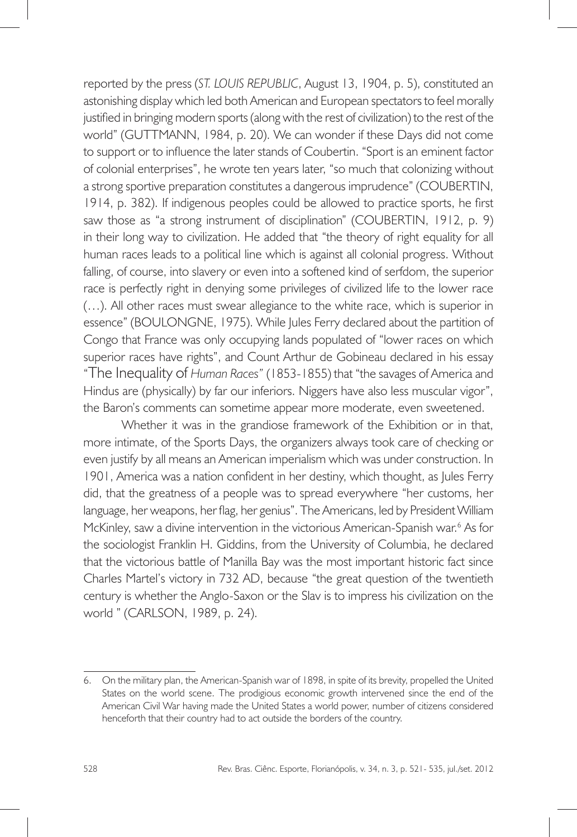reported by the press (*ST. LOUIS REPUBLIC*, August 13, 1904, p. 5), constituted an astonishing display which led both American and European spectators to feel morally justified in bringing modern sports (along with the rest of civilization) to the rest of the world" (GUTTMANN, 1984, p. 20). We can wonder if these Days did not come to support or to influence the later stands of Coubertin. "Sport is an eminent factor of colonial enterprises", he wrote ten years later, "so much that colonizing without a strong sportive preparation constitutes a dangerous imprudence" (COUBERTIN, 1914, p. 382). If indigenous peoples could be allowed to practice sports, he first saw those as "a strong instrument of disciplination" (COUBERTIN, 1912, p. 9) in their long way to civilization. He added that "the theory of right equality for all human races leads to a political line which is against all colonial progress. Without falling, of course, into slavery or even into a softened kind of serfdom, the superior race is perfectly right in denying some privileges of civilized life to the lower race (…). All other races must swear allegiance to the white race, which is superior in essence" (BOULONGNE, 1975). While Jules Ferry declared about the partition of Congo that France was only occupying lands populated of "lower races on which superior races have rights", and Count Arthur de Gobineau declared in his essay "The Inequality of *Human Races"* (1853-1855) that "the savages of America and Hindus are (physically) by far our inferiors. Niggers have also less muscular vigor", the Baron's comments can sometime appear more moderate, even sweetened.

 Whether it was in the grandiose framework of the Exhibition or in that, more intimate, of the Sports Days, the organizers always took care of checking or even justify by all means an American imperialism which was under construction. In 1901, America was a nation confident in her destiny, which thought, as Jules Ferry did, that the greatness of a people was to spread everywhere "her customs, her language, her weapons, her flag, her genius". The Americans, led by President William McKinley, saw a divine intervention in the victorious American-Spanish war.<sup>6</sup> As for the sociologist Franklin H. Giddins, from the University of Columbia, he declared that the victorious battle of Manilla Bay was the most important historic fact since Charles Martel's victory in 732 AD, because "the great question of the twentieth century is whether the Anglo-Saxon or the Slav is to impress his civilization on the world " (CARLSON, 1989, p. 24).

<sup>6.</sup> On the military plan, the American-Spanish war of 1898, in spite of its brevity, propelled the United States on the world scene. The prodigious economic growth intervened since the end of the American Civil War having made the United States a world power, number of citizens considered henceforth that their country had to act outside the borders of the country.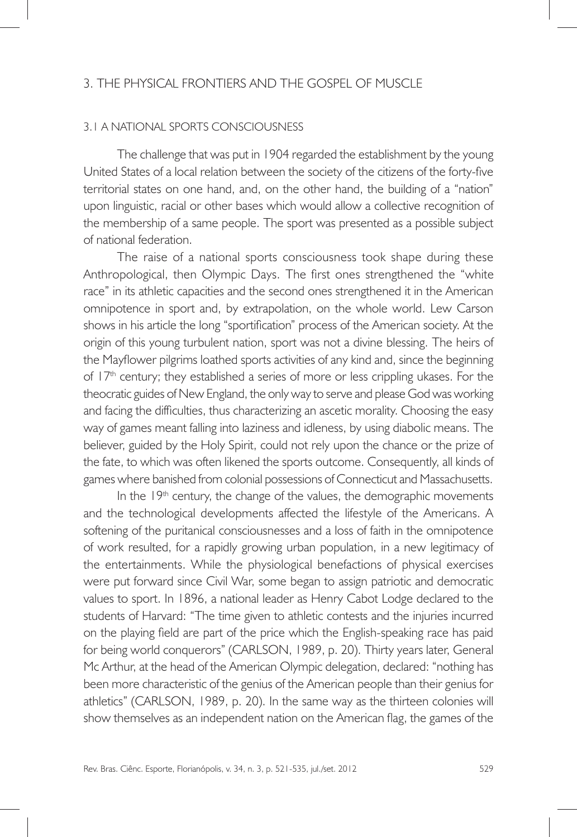## 3. THE PHYSICAL FRONTIERS AND THE GOSPEL OF MUSCLE

## 3.1 A NATIONAL SPORTS CONSCIOUSNESS

The challenge that was put in 1904 regarded the establishment by the young United States of a local relation between the society of the citizens of the forty-five territorial states on one hand, and, on the other hand, the building of a "nation" upon linguistic, racial or other bases which would allow a collective recognition of the membership of a same people. The sport was presented as a possible subject of national federation.

The raise of a national sports consciousness took shape during these Anthropological, then Olympic Days. The first ones strengthened the "white race" in its athletic capacities and the second ones strengthened it in the American omnipotence in sport and, by extrapolation, on the whole world. Lew Carson shows in his article the long "sportification" process of the American society. At the origin of this young turbulent nation, sport was not a divine blessing. The heirs of the Mayflower pilgrims loathed sports activities of any kind and, since the beginning of  $17<sup>th</sup>$  century; they established a series of more or less crippling ukases. For the theocratic guides of New England, the only way to serve and please God was working and facing the difficulties, thus characterizing an ascetic morality. Choosing the easy way of games meant falling into laziness and idleness, by using diabolic means. The believer, guided by the Holy Spirit, could not rely upon the chance or the prize of the fate, to which was often likened the sports outcome. Consequently, all kinds of games where banished from colonial possessions of Connecticut and Massachusetts.

In the 19<sup>th</sup> century, the change of the values, the demographic movements and the technological developments affected the lifestyle of the Americans. A softening of the puritanical consciousnesses and a loss of faith in the omnipotence of work resulted, for a rapidly growing urban population, in a new legitimacy of the entertainments. While the physiological benefactions of physical exercises were put forward since Civil War, some began to assign patriotic and democratic values to sport. In 1896, a national leader as Henry Cabot Lodge declared to the students of Harvard: "The time given to athletic contests and the injuries incurred on the playing field are part of the price which the English-speaking race has paid for being world conquerors" (CARLSON, 1989, p. 20). Thirty years later, General Mc Arthur, at the head of the American Olympic delegation, declared: "nothing has been more characteristic of the genius of the American people than their genius for athletics" (CARLSON, 1989, p. 20). In the same way as the thirteen colonies will show themselves as an independent nation on the American flag, the games of the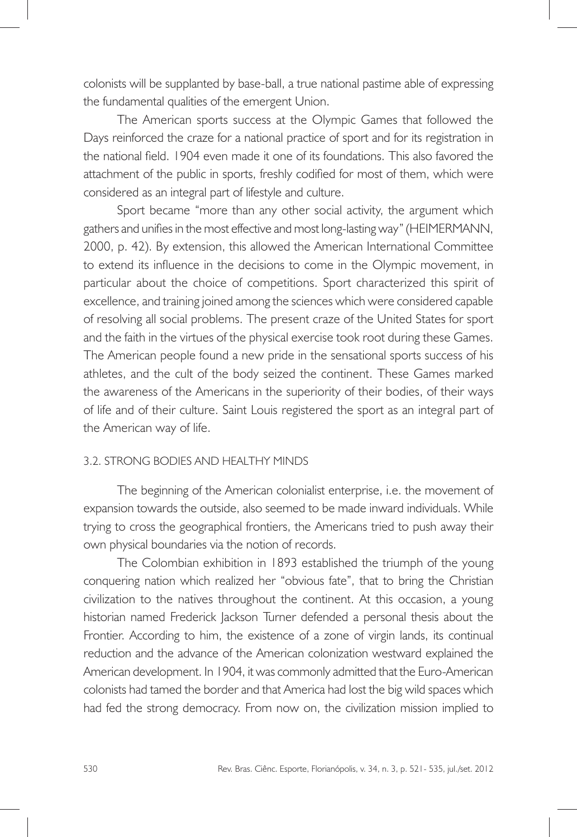colonists will be supplanted by base-ball, a true national pastime able of expressing the fundamental qualities of the emergent Union.

The American sports success at the Olympic Games that followed the Days reinforced the craze for a national practice of sport and for its registration in the national field. 1904 even made it one of its foundations. This also favored the attachment of the public in sports, freshly codified for most of them, which were considered as an integral part of lifestyle and culture.

Sport became "more than any other social activity, the argument which gathers and unifies in the most effective and most long-lasting way" (HEIMERMANN, 2000, p. 42). By extension, this allowed the American International Committee to extend its influence in the decisions to come in the Olympic movement, in particular about the choice of competitions. Sport characterized this spirit of excellence, and training joined among the sciences which were considered capable of resolving all social problems. The present craze of the United States for sport and the faith in the virtues of the physical exercise took root during these Games. The American people found a new pride in the sensational sports success of his athletes, and the cult of the body seized the continent. These Games marked the awareness of the Americans in the superiority of their bodies, of their ways of life and of their culture. Saint Louis registered the sport as an integral part of the American way of life.

## 3.2. STRONG BODIES AND HEALTHY MINDS

The beginning of the American colonialist enterprise, i.e. the movement of expansion towards the outside, also seemed to be made inward individuals. While trying to cross the geographical frontiers, the Americans tried to push away their own physical boundaries via the notion of records.

The Colombian exhibition in 1893 established the triumph of the young conquering nation which realized her "obvious fate", that to bring the Christian civilization to the natives throughout the continent. At this occasion, a young historian named Frederick Jackson Turner defended a personal thesis about the Frontier. According to him, the existence of a zone of virgin lands, its continual reduction and the advance of the American colonization westward explained the American development. In 1904, it was commonly admitted that the Euro-American colonists had tamed the border and that America had lost the big wild spaces which had fed the strong democracy. From now on, the civilization mission implied to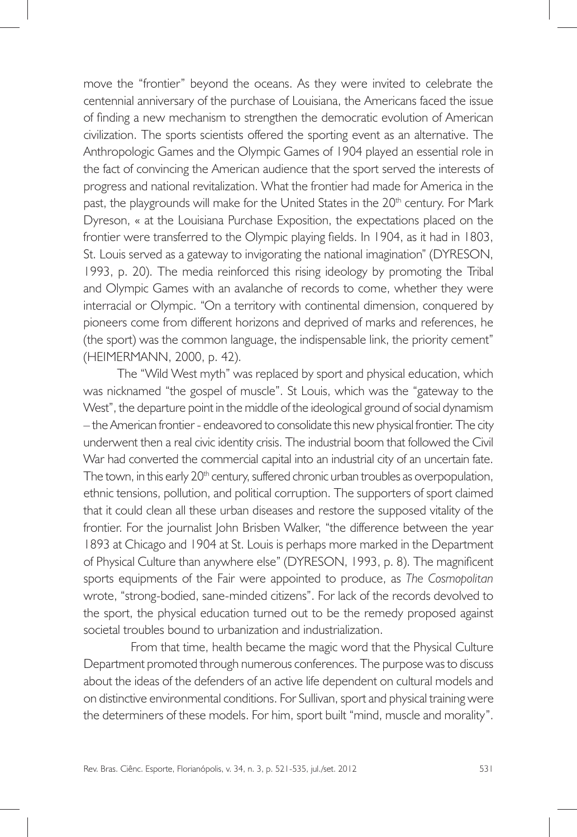move the "frontier" beyond the oceans. As they were invited to celebrate the centennial anniversary of the purchase of Louisiana, the Americans faced the issue of finding a new mechanism to strengthen the democratic evolution of American civilization. The sports scientists offered the sporting event as an alternative. The Anthropologic Games and the Olympic Games of 1904 played an essential role in the fact of convincing the American audience that the sport served the interests of progress and national revitalization. What the frontier had made for America in the past, the playgrounds will make for the United States in the 20<sup>th</sup> century. For Mark Dyreson, « at the Louisiana Purchase Exposition, the expectations placed on the frontier were transferred to the Olympic playing fields. In 1904, as it had in 1803, St. Louis served as a gateway to invigorating the national imagination" (DYRESON, 1993, p. 20). The media reinforced this rising ideology by promoting the Tribal and Olympic Games with an avalanche of records to come, whether they were interracial or Olympic. "On a territory with continental dimension, conquered by pioneers come from different horizons and deprived of marks and references, he (the sport) was the common language, the indispensable link, the priority cement" (HEIMERMANN, 2000, p. 42).

The "Wild West myth" was replaced by sport and physical education, which was nicknamed "the gospel of muscle". St Louis, which was the "gateway to the West", the departure point in the middle of the ideological ground of social dynamism – the American frontier - endeavored to consolidate this new physical frontier. The city underwent then a real civic identity crisis. The industrial boom that followed the Civil War had converted the commercial capital into an industrial city of an uncertain fate. The town, in this early 20<sup>th</sup> century, suffered chronic urban troubles as overpopulation, ethnic tensions, pollution, and political corruption. The supporters of sport claimed that it could clean all these urban diseases and restore the supposed vitality of the frontier. For the journalist John Brisben Walker, "the difference between the year 1893 at Chicago and 1904 at St. Louis is perhaps more marked in the Department of Physical Culture than anywhere else" (DYRESON, 1993, p. 8). The magnificent sports equipments of the Fair were appointed to produce, as *The Cosmopolitan* wrote, "strong-bodied, sane-minded citizens". For lack of the records devolved to the sport, the physical education turned out to be the remedy proposed against societal troubles bound to urbanization and industrialization.

 From that time, health became the magic word that the Physical Culture Department promoted through numerous conferences. The purpose was to discuss about the ideas of the defenders of an active life dependent on cultural models and on distinctive environmental conditions. For Sullivan, sport and physical training were the determiners of these models. For him, sport built "mind, muscle and morality".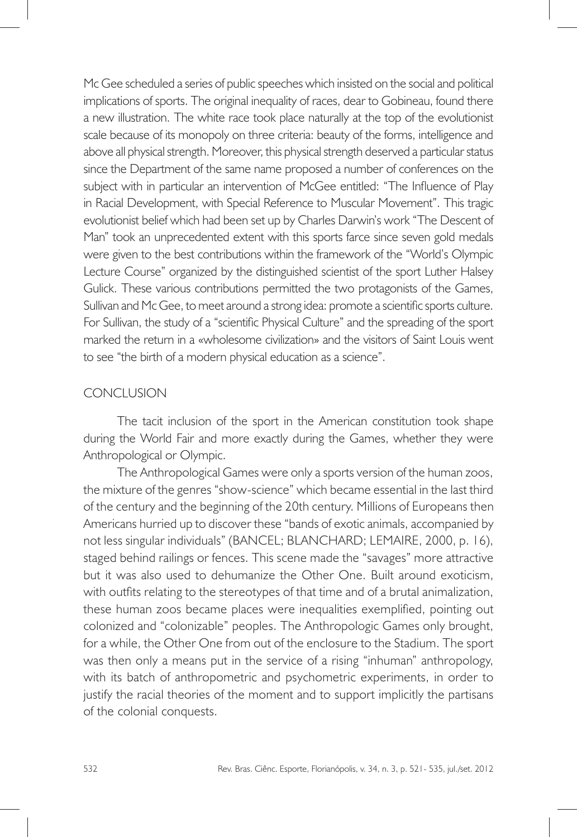Mc Gee scheduled a series of public speeches which insisted on the social and political implications of sports. The original inequality of races, dear to Gobineau, found there a new illustration. The white race took place naturally at the top of the evolutionist scale because of its monopoly on three criteria: beauty of the forms, intelligence and above all physical strength. Moreover, this physical strength deserved a particular status since the Department of the same name proposed a number of conferences on the subject with in particular an intervention of McGee entitled: "The Influence of Play in Racial Development, with Special Reference to Muscular Movement". This tragic evolutionist belief which had been set up by Charles Darwin's work "The Descent of Man" took an unprecedented extent with this sports farce since seven gold medals were given to the best contributions within the framework of the "World's Olympic Lecture Course" organized by the distinguished scientist of the sport Luther Halsey Gulick. These various contributions permitted the two protagonists of the Games, Sullivan and Mc Gee, to meet around a strong idea: promote a scientific sports culture. For Sullivan, the study of a "scientific Physical Culture" and the spreading of the sport marked the return in a «wholesome civilization» and the visitors of Saint Louis went to see "the birth of a modern physical education as a science".

### CONCLUSION

The tacit inclusion of the sport in the American constitution took shape during the World Fair and more exactly during the Games, whether they were Anthropological or Olympic.

The Anthropological Games were only a sports version of the human zoos, the mixture of the genres "show-science" which became essential in the last third of the century and the beginning of the 20th century. Millions of Europeans then Americans hurried up to discover these "bands of exotic animals, accompanied by not less singular individuals" (BANCEL; BLANCHARD; LEMAIRE, 2000, p. 16), staged behind railings or fences. This scene made the "savages" more attractive but it was also used to dehumanize the Other One. Built around exoticism, with outfits relating to the stereotypes of that time and of a brutal animalization, these human zoos became places were inequalities exemplified, pointing out colonized and "colonizable" peoples. The Anthropologic Games only brought, for a while, the Other One from out of the enclosure to the Stadium. The sport was then only a means put in the service of a rising "inhuman" anthropology, with its batch of anthropometric and psychometric experiments, in order to justify the racial theories of the moment and to support implicitly the partisans of the colonial conquests.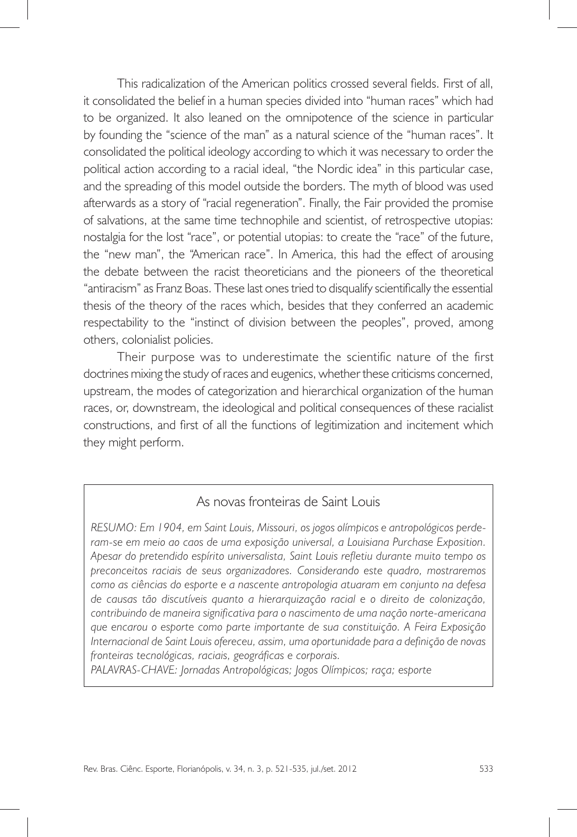This radicalization of the American politics crossed several fields. First of all, it consolidated the belief in a human species divided into "human races" which had to be organized. It also leaned on the omnipotence of the science in particular by founding the "science of the man" as a natural science of the "human races". It consolidated the political ideology according to which it was necessary to order the political action according to a racial ideal, "the Nordic idea" in this particular case, and the spreading of this model outside the borders. The myth of blood was used afterwards as a story of "racial regeneration". Finally, the Fair provided the promise of salvations, at the same time technophile and scientist, of retrospective utopias: nostalgia for the lost "race", or potential utopias: to create the "race" of the future, the "new man", the "American race". In America, this had the effect of arousing the debate between the racist theoreticians and the pioneers of the theoretical "antiracism" as Franz Boas. These last ones tried to disqualify scientifically the essential thesis of the theory of the races which, besides that they conferred an academic respectability to the "instinct of division between the peoples", proved, among others, colonialist policies.

Their purpose was to underestimate the scientific nature of the first doctrines mixing the study of races and eugenics, whether these criticisms concerned, upstream, the modes of categorization and hierarchical organization of the human races, or, downstream, the ideological and political consequences of these racialist constructions, and first of all the functions of legitimization and incitement which they might perform.

## As novas fronteiras de Saint Louis

*RESUMO: Em 1904, em Saint Louis, Missouri, os jogos olímpicos e antropológicos perde*ram-se em meio ao caos de uma exposição universal, a Louisiana Purchase Exposition. *Apesar do pretendido espírito universalista, Saint Louis refletiu durante muito tempo os preconceitos raciais de seus organizadores. Considerando este quadro, mostraremos como as ciências do esporte e a nascente antropologia atuaram em conjunto na defesa de causas tão discutíveis quanto a hierarquização racial e o direito de colonização, contribuindo de maneira significativa para o nascimento de uma nação norte-americana que encarou o esporte como parte importante de sua constituição. A Feira Exposição Internacional de Saint Louis ofereceu, assim, uma oportunidade para a definição de novas fronteiras tecnológicas, raciais, geográficas e corporais.*

*PALAVRAS-CHAVE: Jornadas Antropológicas; Jogos Olímpicos; raça; esporte*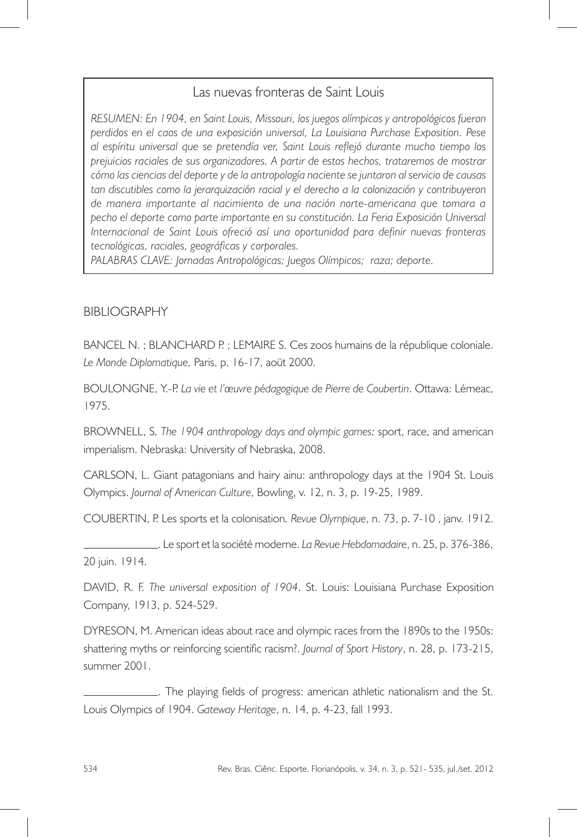## Las nuevas fronteras de Saint Louis

*RESUMEN: En 1904, en Saint Louis, Missouri, los juegos olímpicos y antropológicos fueron perdidos en el caos de una exposición universal, La Louisiana Purchase Exposition. Pese al espíritu universal que se pretendía ver, Saint Louis reflejó durante mucho tiempo los prejuicios raciales de sus organizadores. A partir de estos hechos, trataremos de mostrar cómo las ciencias del deporte y de la antropología naciente se juntaron al servicio de causas tan discutibles como la jerarquización racial y el derecho a la colonización y contribuyeron de manera importante al nacimiento de una nación norte-americana que tomara a pecho el deporte como parte importante en su constitución. La Feria Exposición Universal Internacional de Saint Louis ofreció así una oportunidad para definir nuevas fronteras tecnológicas, raciales, geográficas y corporales.* 

*PALABRAS CLAVE: Jornadas Antropológicas; Juegos Olímpicos; raza; deporte.*

#### BIBLIOGRAPHY

BANCEL N. ; BLANCHARD P. ; LEMAIRE S. Ces zoos humains de la république coloniale. *Le Monde Diplomatique,* Paris, p. 16-17, aoüt 2000.

BOULONGNE, Y.-P. *La vie et l'œuvre pédagogique de Pierre de Coubertin*. Ottawa: Lémeac, 1975.

BROWNELL, S*. The 1904 anthropology days and olympic games:* sport, race, and american imperialism. Nebraska: University of Nebraska, 2008.

CARLSON, L. Giant patagonians and hairy ainu: anthropology days at the 1904 St. Louis Olym pics. *Journal of American Cul ture*, Bowling, v. 12, n. 3, p. 19-25, 1989.

COUBERTIN, P. Les sports et la colonisation*. Revue Olympique*, n. 73, p. 7-10 , janv. 1912.

 . Le sport et la société moderne. *La Revue Hebdomadaire*, n. 25, p. 376-386, 20 juin. 1914.

DAVID, R. F. *The universal exposition of 1904*. St. Louis: Louisiana Purchase Exposition Company, 1913, p. 524-529.

DYRESON, M. American ideas about race and olympic races from the 1890s to the 1950s: shattering myths or rein forcing scientific racism?. *Journal of Sport History*, n. 28, p. 173-215, summer 2001.

 . The playing fields of progress: american athletic nationalism and the St. Louis Olympics of 1904. *Gateway Heritage*, n. 14, p. 4-23, fall 1993.